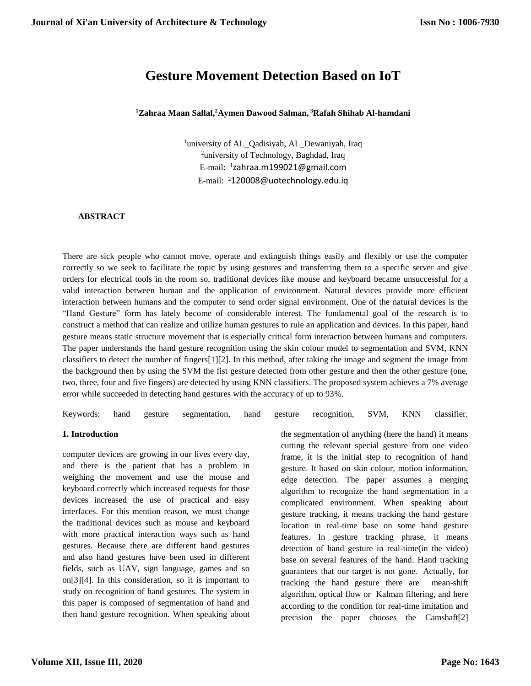# **Gesture Movement Detection Based on IoT**

**<sup>1</sup>Zahraa Maan Sallal, <sup>2</sup>Aymen Dawood Salman, <sup>3</sup>Rafah Shihab Al-hamdani**

<sup>1</sup>university of AL\_Qadisiyah, AL\_Dewaniyah, Iraq <sup>2</sup>university of Technology, Baghdad, Iraq E-mail: <sup>1</sup> zahraa.m199021@gmail.com E-mail: <sup>2</sup>120008@uotechnology.edu.iq

#### **ABSTRACT**

There are sick people who cannot move, operate and extinguish things easily and flexibly or use the computer correctly so we seek to facilitate the topic by using gestures and transferring them to a specific server and give orders for electrical tools in the room so, traditional devices like mouse and keyboard became unsuccessful for a valid interaction between human and the application of environment. Natural devices provide more efficient interaction between humans and the computer to send order signal environment. One of the natural devices is the "Hand Gesture" form has lately become of considerable interest. The fundamental goal of the research is to construct a method that can realize and utilize human gestures to rule an application and devices. In this paper, hand gesture means static structure movement that is especially critical form interaction between humans and computers. The paper understands the hand gesture recognition using the skin colour model to segmentation and SVM, KNN classifiers to detect the number of fingers[1][2]. In this method, after taking the image and segment the image from the background then by using the SVM the fist gesture detected from other gesture and then the other gesture (one, two, three, four and five fingers) are detected by using KNN classifiers. The proposed system achieves a 7% average error while succeeded in detecting hand gestures with the accuracy of up to 93%.

Keywords: hand gesture segmentation, hand gesture recognition, SVM, KNN classifier.

#### **1. Introduction**

computer devices are growing in our lives every day, and there is the patient that has a problem in weighing the movement and use the mouse and keyboard correctly which increased requests for those devices increased the use of practical and easy interfaces. For this mention reason, we must change the traditional devices such as mouse and keyboard with more practical interaction ways such as hand gestures. Because there are different hand gestures and also hand gestures have been used in different fields, such as UAV, sign language, games and so on[3][4]. In this consideration, so it is important to study on recognition of hand gestures. The system in this paper is composed of segmentation of hand and then hand gesture recognition. When speaking about the segmentation of anything (here the hand) it means cutting the relevant special gesture from one video frame, it is the initial step to recognition of hand gesture. It based on skin colour, motion information, edge detection. The paper assumes a merging algorithm to recognize the hand segmentation in a complicated environment. When speaking about gesture tracking, it means tracking the hand gesture location in real-time base on some hand gesture features. In gesture tracking phrase, it means detection of hand gesture in real-time(in the video) base on several features of the hand. Hand tracking guarantees that our target is not gone. Actually, for tracking the hand gesture there are mean-shift algorithm, optical flow or Kalman filtering, and here according to the condition for real-time imitation and precision the paper chooses the Camshaft[2]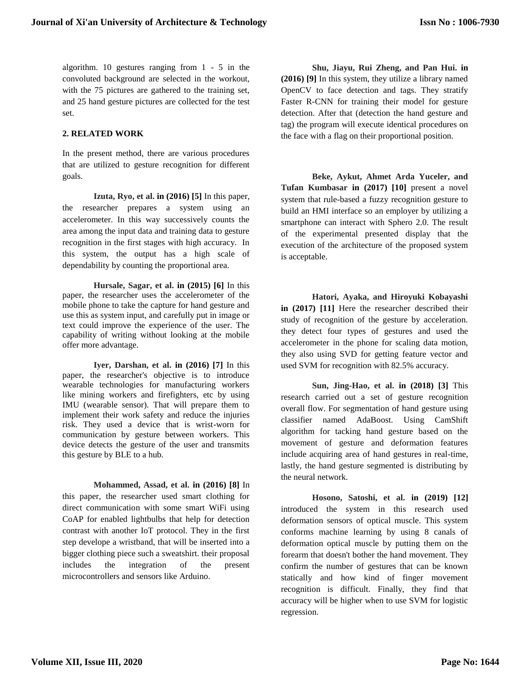algorithm. 10 gestures ranging from 1 - 5 in the convoluted background are selected in the workout, with the 75 pictures are gathered to the training set, and 25 hand gesture pictures are collected for the test set.

#### **2. RELATED WORK**

In the present method, there are various procedures that are utilized to gesture recognition for different goals.

**Izuta, Ryo, et al. in (2016) [5]** In this paper, the researcher prepares a system using an accelerometer. In this way successively counts the area among the input data and training data to gesture recognition in the first stages with high accuracy. In this system, the output has a high scale of dependability by counting the proportional area.

**Hursale, Sagar, et al. in (2015) [6]** In this paper, the researcher uses the accelerometer of the mobile phone to take the capture for hand gesture and use this as system input, and carefully put in image or text could improve the experience of the user. The capability of writing without looking at the mobile offer more advantage.

**Iyer, Darshan, et al. in (2016) [7]** In this paper, the researcher's objective is to introduce wearable technologies for manufacturing workers like mining workers and firefighters, etc by using IMU (wearable sensor). That will prepare them to implement their work safety and reduce the injuries risk. They used a device that is wrist-worn for communication by gesture between workers. This device detects the gesture of the user and transmits this gesture by BLE to a hub.

**Mohammed, Assad, et al. in (2016) [8]** In this paper, the researcher used smart clothing for direct communication with some smart WiFi using CoAP for enabled lightbulbs that help for detection contrast with another IoT protocol. They in the first step develope a wristband, that will be inserted into a bigger clothing piece such a sweatshirt. their proposal includes the integration of the present microcontrollers and sensors like Arduino.

**Shu, Jiayu, Rui Zheng, and Pan Hui. in (2016) [9]** In this system, they utilize a library named OpenCV to face detection and tags. They stratify Faster R-CNN for training their model for gesture detection. After that (detection the hand gesture and tag) the program will execute identical procedures on the face with a flag on their proportional position.

**Beke, Aykut, Ahmet Arda Yuceler, and Tufan Kumbasar in (2017) [10]** present a novel system that rule-based a fuzzy recognition gesture to build an HMI interface so an employer by utilizing a smartphone can interact with Sphero 2.0. The result of the experimental presented display that the execution of the architecture of the proposed system is acceptable.

**Hatori, Ayaka, and Hiroyuki Kobayashi in (2017) [11]** Here the researcher described their study of recognition of the gesture by acceleration. they detect four types of gestures and used the accelerometer in the phone for scaling data motion, they also using SVD for getting feature vector and used SVM for recognition with 82.5% accuracy.

**Sun, Jing-Hao, et al. in (2018) [3]** This research carried out a set of gesture recognition overall flow. For segmentation of hand gesture using classifier named AdaBoost. Using CamShift algorithm for tacking hand gesture based on the movement of gesture and deformation features include acquiring area of hand gestures in real-time, lastly, the hand gesture segmented is distributing by the neural network.

**Hosono, Satoshi, et al. in (2019) [12]**  introduced the system in this research used deformation sensors of optical muscle. This system conforms machine learning by using 8 canals of deformation optical muscle by putting them on the forearm that doesn't bother the hand movement. They confirm the number of gestures that can be known statically and how kind of finger movement recognition is difficult. Finally, they find that accuracy will be higher when to use SVM for logistic regression.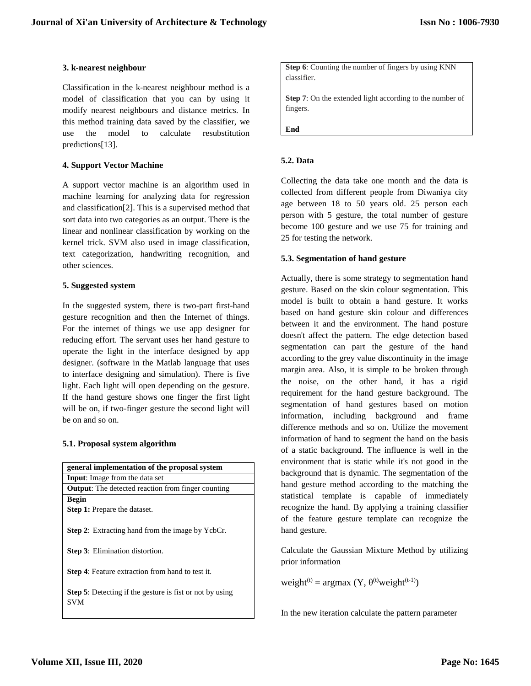#### **3. k-nearest neighbour**

Classification in the k-nearest neighbour method is a model of classification that you can by using it modify nearest neighbours and distance metrics. In this method training data saved by the classifier, we use the model to calculate resubstitution predictions[13].

#### **4. Support Vector Machine**

A support vector machine is an algorithm used in machine learning for analyzing data for regression and classification[2]. This is a supervised method that sort data into two categories as an output. There is the linear and nonlinear classification by working on the kernel trick. SVM also used in image classification, text categorization, handwriting recognition, and other sciences.

## **5. Suggested system**

In the suggested system, there is two-part first-hand gesture recognition and then the Internet of things. For the internet of things we use app designer for reducing effort. The servant uses her hand gesture to operate the light in the interface designed by app designer. (software in the Matlab language that uses to interface designing and simulation). There is five light. Each light will open depending on the gesture. If the hand gesture shows one finger the first light will be on, if two-finger gesture the second light will be on and so on.

#### **5.1. Proposal system algorithm**

| general implementation of the proposal system                   |  |  |  |  |  |
|-----------------------------------------------------------------|--|--|--|--|--|
| <b>Input:</b> Image from the data set                           |  |  |  |  |  |
| <b>Output:</b> The detected reaction from finger counting       |  |  |  |  |  |
| <b>Begin</b>                                                    |  |  |  |  |  |
| <b>Step 1:</b> Prepare the dataset.                             |  |  |  |  |  |
|                                                                 |  |  |  |  |  |
| <b>Step 2:</b> Extracting hand from the image by YcbCr.         |  |  |  |  |  |
|                                                                 |  |  |  |  |  |
| <b>Step 3:</b> Elimination distortion.                          |  |  |  |  |  |
|                                                                 |  |  |  |  |  |
| <b>Step 4:</b> Feature extraction from hand to test it.         |  |  |  |  |  |
|                                                                 |  |  |  |  |  |
| <b>Step 5:</b> Detecting if the gesture is fist or not by using |  |  |  |  |  |
| <b>SVM</b>                                                      |  |  |  |  |  |

**Step 6**: Counting the number of fingers by using KNN classifier.

**Step 7**: On the extended light according to the number of fingers.

**End**

## **5.2. Data**

Collecting the data take one month and the data is collected from different people from Diwaniya city age between 18 to 50 years old. 25 person each person with 5 gesture, the total number of gesture become 100 gesture and we use 75 for training and 25 for testing the network.

## **5.3. Segmentation of hand gesture**

Actually, there is some strategy to segmentation hand gesture. Based on the skin colour segmentation. This model is built to obtain a hand gesture. It works based on hand gesture skin colour and differences between it and the environment. The hand posture doesn't affect the pattern. The edge detection based segmentation can part the gesture of the hand according to the grey value discontinuity in the image margin area. Also, it is simple to be broken through the noise, on the other hand, it has a rigid requirement for the hand gesture background. The segmentation of hand gestures based on motion information, including background and frame difference methods and so on. Utilize the movement information of hand to segment the hand on the basis of a static background. The influence is well in the environment that is static while it's not good in the background that is dynamic. The segmentation of the hand gesture method according to the matching the statistical template is capable of immediately recognize the hand. By applying a training classifier of the feature gesture template can recognize the hand gesture.

Calculate the Gaussian Mixture Method by utilizing prior information

weight<sup>(t)</sup> = argmax (Y,  $\theta^{(t)}$ weight<sup>(t-1)</sup>)

In the new iteration calculate the pattern parameter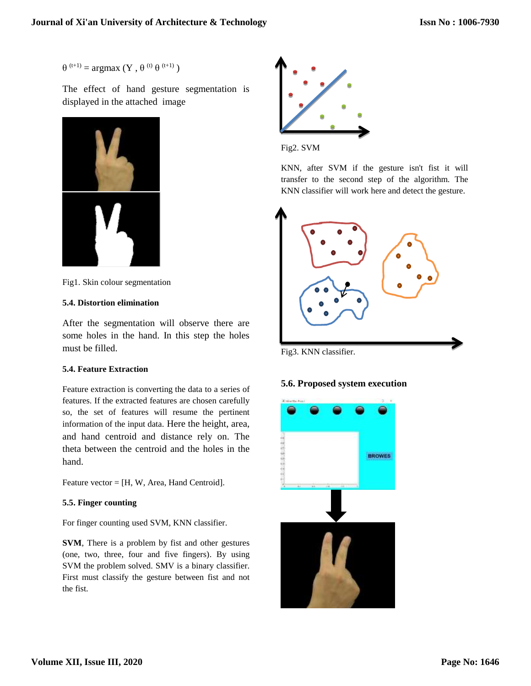$θ$ <sup>(t+1)</sup> = argmax (Y,  $θ$ <sup>(t)</sup>  $θ$ <sup>(t+1)</sup>)

The effect of hand gesture segmentation is displayed in the attached image



Fig1. Skin colour segmentation

## **5.4. Distortion elimination**

After the segmentation will observe there are some holes in the hand. In this step the holes must be filled.

# **5.4. Feature Extraction**

Feature extraction is converting the data to a series of features. If the extracted features are chosen carefully so, the set of features will resume the pertinent information of the input data. Here the height, area, and hand centroid and distance rely on. The theta between the centroid and the holes in the hand.

Feature vector = [H, W, Area, Hand Centroid].

# **5.5. Finger counting**

For finger counting used SVM, KNN classifier.

**SVM**, There is a problem by fist and other gestures (one, two, three, four and five fingers). By using SVM the problem solved. SMV is a binary classifier. First must classify the gesture between fist and not the fist.



Fig2. SVM

KNN, after SVM if the gesture isn't fist it will transfer to the second step of the algorithm. The KNN classifier will work here and detect the gesture.



Fig3. KNN classifier.

# **5.6. Proposed system execution**

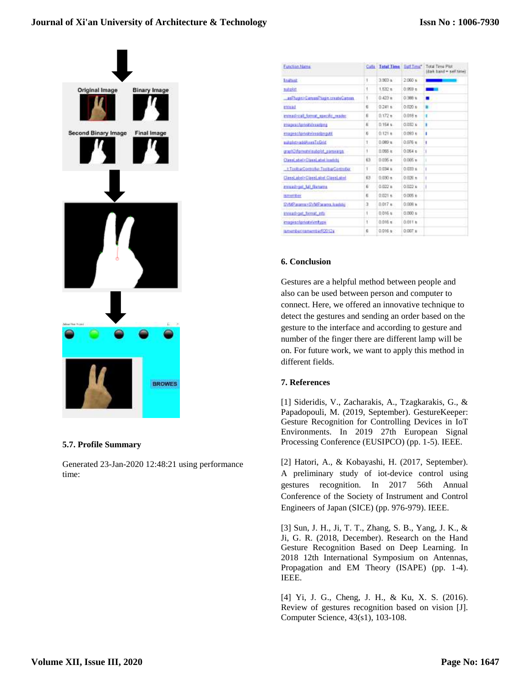# **Journal of Xi'an University of Architecture & Technology**



#### **5.7. Profile Summary**

Generated 23-Jan-2020 12:48:21 using performance time:

| Fanchion Name:                              |                | Cats Total Time Sett Time" |                    | Total Time Plut<br>Idark band = self time) |
|---------------------------------------------|----------------|----------------------------|--------------------|--------------------------------------------|
| <b>Enaltest</b>                             | Ť              | 39034                      | 2.060%             |                                            |
| <b>BLANDROT</b>                             | 1              | $1.532$ s.                 | 0.999 s            |                                            |
| as Fluginin Carry and Tagin create Carry as | 1.             | 0.423 p.                   | 0.988 x            | ٠                                          |
| <b>indead</b>                               | к              | $0.241 +$                  | 0.030 s            | ш                                          |
| mieadziai format miestic reader             | 6              | $0.172$ m                  | $0.018 +$          | ٠                                          |
| <b>Imageschemologicalities</b>              | Б              | $0.154$ s.                 | 0.037 s            | ٠                                          |
| enapsc/privatelysationsut/                  | 6              | $0.121 +$                  | 0.093 t            | t                                          |
| substate addAugulioGrid                     | Ť.             | $0.089 +$                  | $0.076$ s          | ŧ                                          |
| graph of prestrict state of carses to a     | ١.             | D.095-K                    | 0.054 <sub>0</sub> |                                            |
| ClassicateD Classicated Insight             | 63             | 0.035 m                    | $0.005 +$          |                                            |
| t ToolharCormoder ToolharController         | r              | $0.034 +$                  | 0.033 s            |                                            |
| ClassLabel-ClassLabel ClassLabel            | 63             | 0.00011                    | $0.026 +$          |                                            |
| mead-oil MI feminis                         | $\overline{b}$ | 0.022 a                    | 0.022's            |                                            |
| <b>Ismerriber</b>                           | 石              | $0.021 +$                  | $0.005$ e          |                                            |
| EVMP aramse SVMP arams, foundate            | ã              | $0.017 +$                  | $0.008 +$          |                                            |
| impaaut>out_format_arts                     | ŧ              | 0.016 s                    | 0.000 s            |                                            |
| mages:/private/stribyge                     | ŧ              | 0.016 m.                   | 0.011 k            |                                            |
| Ismember-tenwinterR2012a                    | Ð              | 0.016 a                    | $0.007 +$          |                                            |

#### **6. Conclusion**

Gestures are a helpful method between people and also can be used between person and computer to connect. Here, we offered an innovative technique to detect the gestures and sending an order based on the gesture to the interface and according to gesture and number of the finger there are different lamp will be on. For future work, we want to apply this method in different fields.

#### **7. References**

[1] Sideridis, V., Zacharakis, A., Tzagkarakis, G., & Papadopouli, M. (2019, September). GestureKeeper: Gesture Recognition for Controlling Devices in IoT Environments. In 2019 27th European Signal Processing Conference (EUSIPCO) (pp. 1-5). IEEE.

[2] Hatori, A., & Kobayashi, H. (2017, September). A preliminary study of iot-device control using gestures recognition. In 2017 56th Annual Conference of the Society of Instrument and Control Engineers of Japan (SICE) (pp. 976-979). IEEE.

[3] Sun, J. H., Ji, T. T., Zhang, S. B., Yang, J. K., & Ji, G. R. (2018, December). Research on the Hand Gesture Recognition Based on Deep Learning. In 2018 12th International Symposium on Antennas, Propagation and EM Theory (ISAPE) (pp. 1-4). IEEE.

[4] Yi, J. G., Cheng, J. H., & Ku, X. S. (2016). Review of gestures recognition based on vision [J]. Computer Science, 43(s1), 103-108.